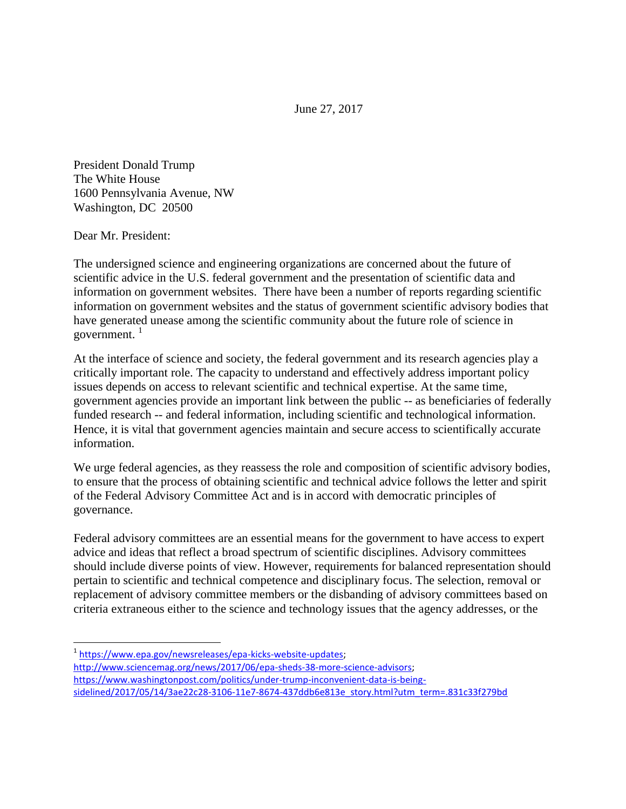June 27, 2017

President Donald Trump The White House 1600 Pennsylvania Avenue, NW Washington, DC 20500

Dear Mr. President:

The undersigned science and engineering organizations are concerned about the future of scientific advice in the U.S. federal government and the presentation of scientific data and information on government websites. There have been a number of reports regarding scientific information on government websites and the status of government scientific advisory bodies that have generated unease among the scientific community about the future role of science in government. $1$ 

At the interface of science and society, the federal government and its research agencies play a critically important role. The capacity to understand and effectively address important policy issues depends on access to relevant scientific and technical expertise. At the same time, government agencies provide an important link between the public -- as beneficiaries of federally funded research -- and federal information, including scientific and technological information. Hence, it is vital that government agencies maintain and secure access to scientifically accurate information.

We urge federal agencies, as they reassess the role and composition of scientific advisory bodies, to ensure that the process of obtaining scientific and technical advice follows the letter and spirit of the Federal Advisory Committee Act and is in accord with democratic principles of governance.

Federal advisory committees are an essential means for the government to have access to expert advice and ideas that reflect a broad spectrum of scientific disciplines. Advisory committees should include diverse points of view. However, requirements for balanced representation should pertain to scientific and technical competence and disciplinary focus. The selection, removal or replacement of advisory committee members or the disbanding of advisory committees based on criteria extraneous either to the science and technology issues that the agency addresses, or the

- <u>.</u><br><sup>1</sup> [https://www.epa.gov/newsreleases/epa-kicks-website-updates;](https://www.epa.gov/newsreleases/epa-kicks-website-updates)
- [http://www.sciencemag.org/news/2017/06/epa-sheds-38-more-science-advisors;](http://www.sciencemag.org/news/2017/06/epa-sheds-38-more-science-advisors)
- [https://www.washingtonpost.com/politics/under-trump-inconvenient-data-is-being-](https://www.washingtonpost.com/politics/under-trump-inconvenient-data-is-being-sidelined/2017/05/14/3ae22c28-3106-11e7-8674-437ddb6e813e_story.html?utm_term=.831c33f279bd)

[sidelined/2017/05/14/3ae22c28-3106-11e7-8674-437ddb6e813e\\_story.html?utm\\_term=.831c33f279bd](https://www.washingtonpost.com/politics/under-trump-inconvenient-data-is-being-sidelined/2017/05/14/3ae22c28-3106-11e7-8674-437ddb6e813e_story.html?utm_term=.831c33f279bd)